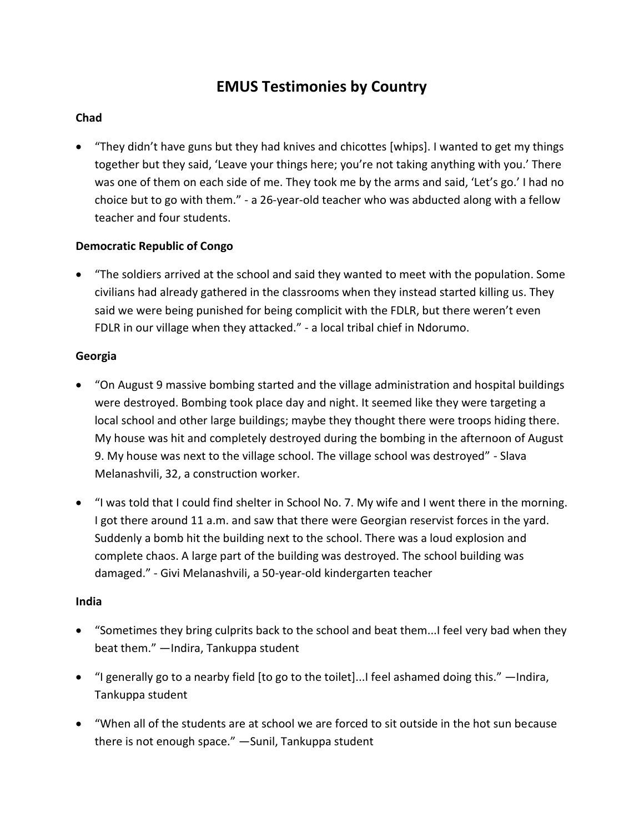# **EMUS Testimonies by Country**

## **Chad**

 "They didn't have guns but they had knives and chicottes [whips]. I wanted to get my things together but they said, 'Leave your things here; you're not taking anything with you.' There was one of them on each side of me. They took me by the arms and said, 'Let's go.' I had no choice but to go with them." - a 26-year-old teacher who was abducted along with a fellow teacher and four students.

## **Democratic Republic of Congo**

 "The soldiers arrived at the school and said they wanted to meet with the population. Some civilians had already gathered in the classrooms when they instead started killing us. They said we were being punished for being complicit with the FDLR, but there weren't even FDLR in our village when they attacked." - a local tribal chief in Ndorumo.

## **Georgia**

- "On August 9 massive bombing started and the village administration and hospital buildings were destroyed. Bombing took place day and night. It seemed like they were targeting a local school and other large buildings; maybe they thought there were troops hiding there. My house was hit and completely destroyed during the bombing in the afternoon of August 9. My house was next to the village school. The village school was destroyed" - Slava Melanashvili, 32, a construction worker.
- "I was told that I could find shelter in School No. 7. My wife and I went there in the morning. I got there around 11 a.m. and saw that there were Georgian reservist forces in the yard. Suddenly a bomb hit the building next to the school. There was a loud explosion and complete chaos. A large part of the building was destroyed. The school building was damaged." - Givi Melanashvili, a 50-year-old kindergarten teacher

## **India**

- "Sometimes they bring culprits back to the school and beat them...I feel very bad when they beat them." —Indira, Tankuppa student
- "I generally go to a nearby field [to go to the toilet]...I feel ashamed doing this." —Indira, Tankuppa student
- "When all of the students are at school we are forced to sit outside in the hot sun because there is not enough space." —Sunil, Tankuppa student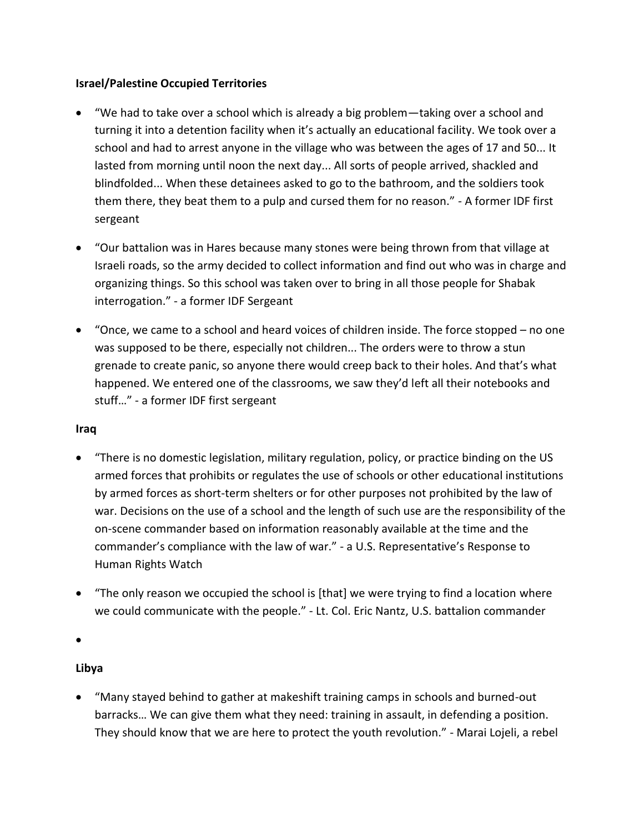#### **Israel/Palestine Occupied Territories**

- "We had to take over a school which is already a big problem—taking over a school and turning it into a detention facility when it's actually an educational facility. We took over a school and had to arrest anyone in the village who was between the ages of 17 and 50... It lasted from morning until noon the next day... All sorts of people arrived, shackled and blindfolded... When these detainees asked to go to the bathroom, and the soldiers took them there, they beat them to a pulp and cursed them for no reason." - A former IDF first sergeant
- "Our battalion was in Hares because many stones were being thrown from that village at Israeli roads, so the army decided to collect information and find out who was in charge and organizing things. So this school was taken over to bring in all those people for Shabak interrogation." - a former IDF Sergeant
- "Once, we came to a school and heard voices of children inside. The force stopped no one was supposed to be there, especially not children... The orders were to throw a stun grenade to create panic, so anyone there would creep back to their holes. And that's what happened. We entered one of the classrooms, we saw they'd left all their notebooks and stuff…" - a former IDF first sergeant

#### **Iraq**

- "There is no domestic legislation, military regulation, policy, or practice binding on the US armed forces that prohibits or regulates the use of schools or other educational institutions by armed forces as short-term shelters or for other purposes not prohibited by the law of war. Decisions on the use of a school and the length of such use are the responsibility of the on-scene commander based on information reasonably available at the time and the commander's compliance with the law of war." - a U.S. Representative's Response to Human Rights Watch
- "The only reason we occupied the school is [that] we were trying to find a location where we could communicate with the people." - Lt. Col. Eric Nantz, U.S. battalion commander

 $\bullet$ 

## **Libya**

 "Many stayed behind to gather at makeshift training camps in schools and burned-out barracks… We can give them what they need: training in assault, in defending a position. They should know that we are here to protect the youth revolution." - Marai Lojeli, a rebel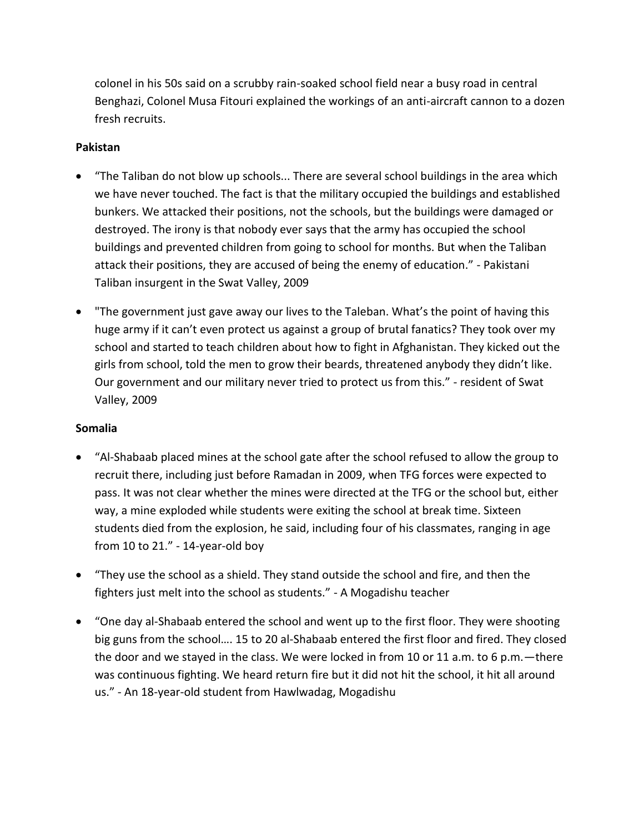colonel in his 50s said on a scrubby rain-soaked school field near a busy road in central Benghazi, Colonel Musa Fitouri explained the workings of an anti-aircraft cannon to a dozen fresh recruits.

## **Pakistan**

- "The Taliban do not blow up schools... There are several school buildings in the area which we have never touched. The fact is that the military occupied the buildings and established bunkers. We attacked their positions, not the schools, but the buildings were damaged or destroyed. The irony is that nobody ever says that the army has occupied the school buildings and prevented children from going to school for months. But when the Taliban attack their positions, they are accused of being the enemy of education." - Pakistani Taliban insurgent in the Swat Valley, 2009
- "The government just gave away our lives to the Taleban. What's the point of having this huge army if it can't even protect us against a group of brutal fanatics? They took over my school and started to teach children about how to fight in Afghanistan. They kicked out the girls from school, told the men to grow their beards, threatened anybody they didn't like. Our government and our military never tried to protect us from this." - resident of Swat Valley, 2009

## **Somalia**

- "Al-Shabaab placed mines at the school gate after the school refused to allow the group to recruit there, including just before Ramadan in 2009, when TFG forces were expected to pass. It was not clear whether the mines were directed at the TFG or the school but, either way, a mine exploded while students were exiting the school at break time. Sixteen students died from the explosion, he said, including four of his classmates, ranging in age from 10 to 21." - 14-year-old boy
- "They use the school as a shield. They stand outside the school and fire, and then the fighters just melt into the school as students." - A Mogadishu teacher
- "One day al-Shabaab entered the school and went up to the first floor. They were shooting big guns from the school…. 15 to 20 al-Shabaab entered the first floor and fired. They closed the door and we stayed in the class. We were locked in from 10 or 11 a.m. to 6 p.m.—there was continuous fighting. We heard return fire but it did not hit the school, it hit all around us." - An 18-year-old student from Hawlwadag, Mogadishu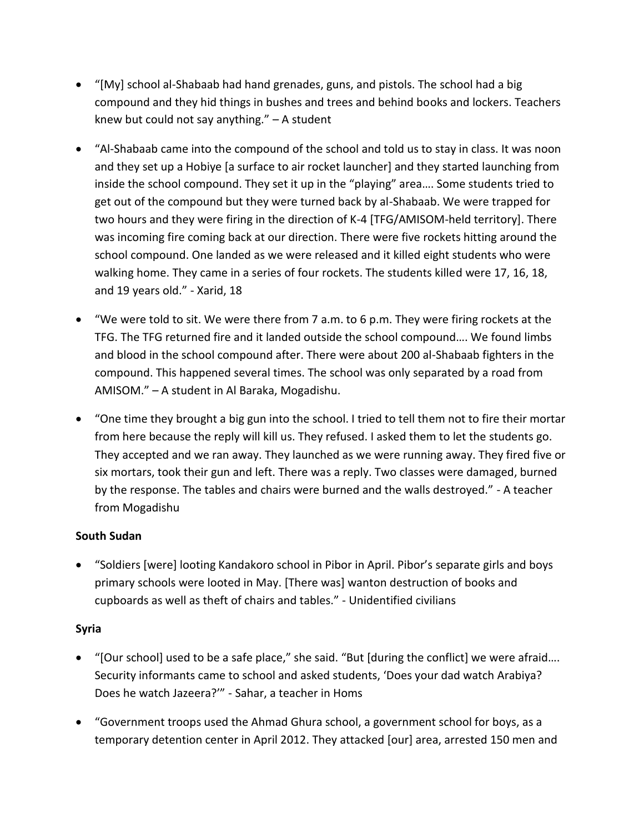- "[My] school al-Shabaab had hand grenades, guns, and pistols. The school had a big compound and they hid things in bushes and trees and behind books and lockers. Teachers knew but could not say anything." – A student
- "Al-Shabaab came into the compound of the school and told us to stay in class. It was noon and they set up a Hobiye [a surface to air rocket launcher] and they started launching from inside the school compound. They set it up in the "playing" area…. Some students tried to get out of the compound but they were turned back by al-Shabaab. We were trapped for two hours and they were firing in the direction of K-4 [TFG/AMISOM-held territory]. There was incoming fire coming back at our direction. There were five rockets hitting around the school compound. One landed as we were released and it killed eight students who were walking home. They came in a series of four rockets. The students killed were 17, 16, 18, and 19 years old." - Xarid, 18
- "We were told to sit. We were there from 7 a.m. to 6 p.m. They were firing rockets at the TFG. The TFG returned fire and it landed outside the school compound…. We found limbs and blood in the school compound after. There were about 200 al-Shabaab fighters in the compound. This happened several times. The school was only separated by a road from AMISOM." – A student in Al Baraka, Mogadishu.
- "One time they brought a big gun into the school. I tried to tell them not to fire their mortar from here because the reply will kill us. They refused. I asked them to let the students go. They accepted and we ran away. They launched as we were running away. They fired five or six mortars, took their gun and left. There was a reply. Two classes were damaged, burned by the response. The tables and chairs were burned and the walls destroyed." - A teacher from Mogadishu

## **South Sudan**

 "Soldiers [were] looting Kandakoro school in Pibor in April. Pibor's separate girls and boys primary schools were looted in May. [There was] wanton destruction of books and cupboards as well as theft of chairs and tables." - Unidentified civilians

#### **Syria**

- "[Our school] used to be a safe place," she said. "But [during the conflict] we were afraid…. Security informants came to school and asked students, 'Does your dad watch Arabiya? Does he watch Jazeera?'" - Sahar, a teacher in Homs
- "Government troops used the Ahmad Ghura school, a government school for boys, as a temporary detention center in April 2012. They attacked [our] area, arrested 150 men and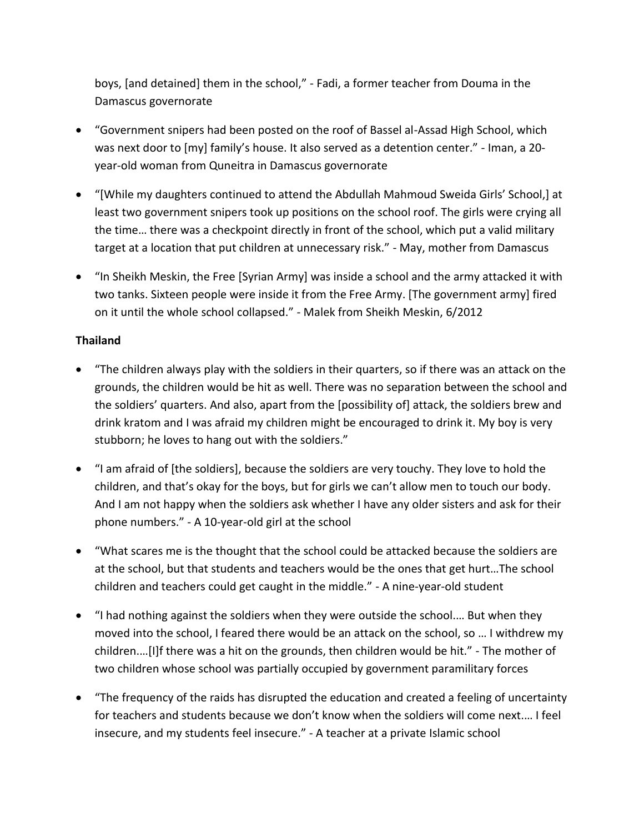boys, [and detained] them in the school," - Fadi, a former teacher from Douma in the Damascus governorate

- "Government snipers had been posted on the roof of Bassel al-Assad High School, which was next door to [my] family's house. It also served as a detention center." - Iman, a 20 year-old woman from Quneitra in Damascus governorate
- "[While my daughters continued to attend the Abdullah Mahmoud Sweida Girls' School,] at least two government snipers took up positions on the school roof. The girls were crying all the time… there was a checkpoint directly in front of the school, which put a valid military target at a location that put children at unnecessary risk." - May, mother from Damascus
- "In Sheikh Meskin, the Free [Syrian Army] was inside a school and the army attacked it with two tanks. Sixteen people were inside it from the Free Army. [The government army] fired on it until the whole school collapsed." - Malek from Sheikh Meskin, 6/2012

## **Thailand**

- "The children always play with the soldiers in their quarters, so if there was an attack on the grounds, the children would be hit as well. There was no separation between the school and the soldiers' quarters. And also, apart from the [possibility of] attack, the soldiers brew and drink kratom and I was afraid my children might be encouraged to drink it. My boy is very stubborn; he loves to hang out with the soldiers."
- "I am afraid of [the soldiers], because the soldiers are very touchy. They love to hold the children, and that's okay for the boys, but for girls we can't allow men to touch our body. And I am not happy when the soldiers ask whether I have any older sisters and ask for their phone numbers." - A 10-year-old girl at the school
- "What scares me is the thought that the school could be attacked because the soldiers are at the school, but that students and teachers would be the ones that get hurt…The school children and teachers could get caught in the middle." - A nine-year-old student
- "I had nothing against the soldiers when they were outside the school.… But when they moved into the school, I feared there would be an attack on the school, so … I withdrew my children.…[I]f there was a hit on the grounds, then children would be hit." - The mother of two children whose school was partially occupied by government paramilitary forces
- "The frequency of the raids has disrupted the education and created a feeling of uncertainty for teachers and students because we don't know when the soldiers will come next.… I feel insecure, and my students feel insecure." - A teacher at a private Islamic school